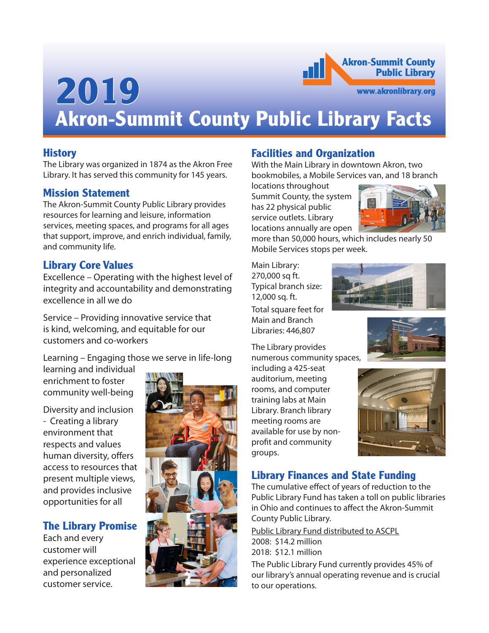# **Akron-Summit County Public Library 2019**www.akronlibrary.org **Akron-Summit County Public Library Facts**

#### **History**

The Library was organized in 1874 as the Akron Free Library. It has served this community for 145 years.

#### **Mission Statement**

The Akron-Summit County Public Library provides resources for learning and leisure, information services, meeting spaces, and programs for all ages that support, improve, and enrich individual, family, and community life.

#### **Library Core Values**

Excellence – Operating with the highest level of integrity and accountability and demonstrating excellence in all we do

Service – Providing innovative service that is kind, welcoming, and equitable for our customers and co-workers

Learning – Engaging those we serve in life-long learning and individual

enrichment to foster community well-being

Diversity and inclusion - Creating a library environment that respects and values human diversity, offers access to resources that present multiple views, and provides inclusive opportunities for all

### **The Library Promise**

Each and every customer will experience exceptional and personalized customer service.



### **Facilities and Organization**

With the Main Library in downtown Akron, two bookmobiles, a Mobile Services van, and 18 branch

locations throughout Summit County, the system has 22 physical public service outlets. Library locations annually are open



more than 50,000 hours, which includes nearly 50 Mobile Services stops per week.

Main Library: 270,000 sq ft. Typical branch size: 12,000 sq. ft.

Total square feet for Main and Branch Libraries: 446,807

The Library provides numerous community spaces,

including a 425-seat auditorium, meeting rooms, and computer training labs at Main Library. Branch library meeting rooms are available for use by nonprofit and community groups.





### **Library Finances and State Funding**

The cumulative effect of years of reduction to the Public Library Fund has taken a toll on public libraries in Ohio and continues to affect the Akron-Summit County Public Library.

Public Library Fund distributed to ASCPL 2008: \$14.2 million 2018: \$12.1 million

The Public Library Fund currently provides 45% of our library's annual operating revenue and is crucial to our operations.